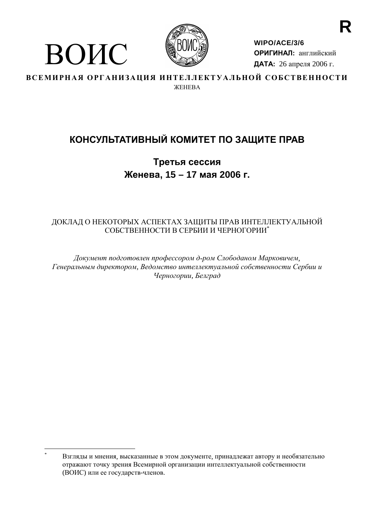

ВОИС

WIPO/ACE/3/6 ОРИГИНАЛ: английский ДАТА: 26 апреля 2006 г.

ВСЕМИРНАЯ ОРГАНИЗАЦИЯ ИНТЕЛЛЕКТУАЛЬНОЙ СОБСТВЕННОСТИ **WEHERA** 

# КОНСУЛЬТАТИВНЫЙ КОМИТЕТ ПО ЗАЩИТЕ ПРАВ

Третья сессия Женева, 15 - 17 мая 2006 г.

# ДОКЛАД О НЕКОТОРЫХ АСПЕКТАХ ЗАЩИТЫ ПРАВ ИНТЕЛЛЕКТУАЛЬНОЙ СОБСТВЕННОСТИ В СЕРБИИ И ЧЕРНОГОРИИ\*

Документ подготовлен профессором д-ром Слободаном Марковичем, Генеральным директором, Ведомство интеллектуальной собственности Сербии и Черногории, Белград

Взгляды и мнения, высказанные в этом документе, принадлежат автору и необязательно отражают точку зрения Всемирной организации интеллектуальной собственности (ВОИС) или ее государств-членов.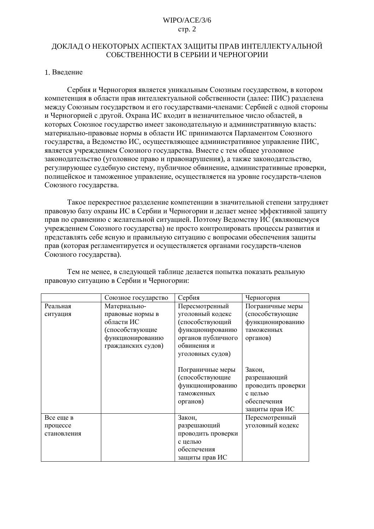## WIPO/ACE/3/6  $crp. 2$

# ЛОКЛАЛ О НЕКОТОРЫХ АСПЕКТАХ ЗАШИТЫ ПРАВ ИНТЕЛЛЕКТУАЛЬНОЙ СОБСТВЕННОСТИ В СЕРБИИ И ЧЕРНОГОРИИ

### 1. Введение

Сербия и Черногория является уникальным Союзным государством, в котором компетенция в области прав интеллектуальной собственности (далее: ПИС) разделена между Союзным государством и его государствами-членами: Сербией с одной стороны и Черногорией с другой. Охрана ИС входит в незначительное число областей, в которых Союзное государство имеет законодательную и административную власть: материально-правовые нормы в области ИС принимаются Парламентом Союзного государства, а Ведомство ИС, осуществляющее административное управление ПИС, является учреждением Союзного государства. Вместе с тем общее уголовное законодательство (уголовное право и правонарушения), а также законодательство, регулирующее судебную систему, публичное обвинение, административные проверки, полицейское и таможенное управление, осуществляется на уровне государств-членов Союзного государства.

Такое перекрестное разделение компетенции в значительной степени затрудняет правовую базу охраны ИС в Сербии и Черногории и делает менее эффективной защиту прав по сравнению с желательной ситуацией. Поэтому Ведомству ИС (являющемуся учреждением Союзного государства) не просто контролировать процессы развития и представлять себе ясную и правильную ситуацию с вопросами обеспечения защиты прав (которая регламентируется и осуществляется органами государств-членов Союзного государства).

|             | Союзное государство | Сербия             | Черногория         |  |
|-------------|---------------------|--------------------|--------------------|--|
| Реальная    | Материально-        | Пересмотренный     | Пограничные меры   |  |
| ситуация    | правовые нормы в    | уголовный кодекс   | (способствующие    |  |
|             | области ИС          | (способствующий    | функционированию   |  |
|             | (способствующие     | функционированию   | таможенных         |  |
|             | функционированию    | органов публичного | органов)           |  |
|             | гражданских судов)  | обвинения и        |                    |  |
|             |                     | уголовных судов)   |                    |  |
|             |                     |                    |                    |  |
|             |                     | Пограничные меры   | Закон,             |  |
|             |                     | (способствующие    | разрешающий        |  |
|             |                     | функционированию   | проводить проверки |  |
|             |                     | таможенных         | с целью            |  |
|             |                     | органов)           | обеспечения        |  |
|             |                     |                    | защиты прав ИС     |  |
| Все еще в   |                     | Закон,             | Пересмотренный     |  |
| процессе    |                     | разрешающий        | уголовный кодекс   |  |
| становления |                     | проводить проверки |                    |  |
|             |                     | с целью            |                    |  |
|             |                     | обеспечения        |                    |  |
|             |                     | защиты прав ИС     |                    |  |

Тем не менее, в следующей таблице делается попытка показать реальную правовую ситуацию в Сербии и Черногории: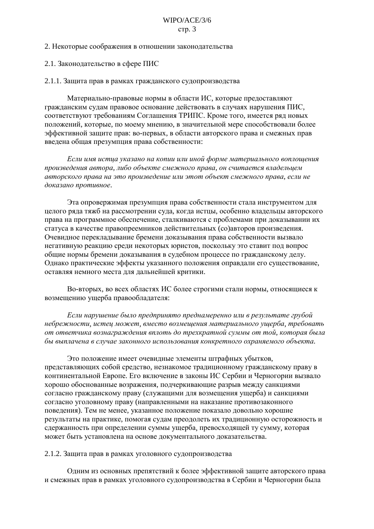### $WIPO/ACE/3/6$ стр.  $3$

#### 2. Некоторые соображения в отношении законодательства

2.1. Законодательство в сфере ПИС

2.1.1. Защита прав в рамках гражданского судопроизводства

Материально-правовые нормы в области ИС, которые предоставляют гражданским судам правовое основание действовать в случаях нарушения ПИС. соответствуют требованиям Соглашения ТРИПС. Кроме того, имеется ряд новых положений, которые, по моему мнению, в значительной мере способствовали более эффективной защите прав: во-первых, в области авторского права и смежных прав введена общая презумпция права собственности:

Если имя истца указано на копии или иной форме материального воплощения произведения автора, либо объекте смежного права, он считается владельцем авторского права на это произведение или этот объект смежного права, если не доказано противное.

Эта опровержимая презумпция права собственности стала инструментом для целого ряда тяжб на рассмотрении суда, когда истцы, особенно владельцы авторского права на программное обеспечение, сталкиваются с проблемами при доказывании их статуса в качестве правопреемников действительных (со)авторов произведения. Очевидное перекладывание бремени доказывания права собственности вызвало негативную реакцию среди некоторых юристов, поскольку это ставит под вопрос общие нормы бремени доказывания в судебном процессе по гражданскому делу. Однако практические эффекты указанного положения оправдали его существование, оставляя немного места для дальнейшей критики.

Во-вторых, во всех областях ИС более строгими стали нормы, относящиеся к возмещению ущерба правообладателя:

Если нарушение было предпринято преднамеренно или в результате грубой небрежности, истец может, вместо возмещения материального ущерба, требовать от ответчика вознаграждения вплоть до трехкратной суммы от той, которая была бы выплачена в случае законного использования конкретного охраняемого объекта.

Это положение имеет очевидные элементы штрафных убытков, представляющих собой средство, незнакомое традиционному гражданскому праву в континентальной Европе. Его включение в законы ИС Сербии и Черногории вызвало хорошо обоснованные возражения, подчеркивающие разрыв между санкциями согласно гражданскому праву (служащими для возмещения ущерба) и санкциями согласно уголовному праву (направленными на наказание противозаконного поведения). Тем не менее, указанное положение показало довольно хорошие результаты на практике, помогая судам преодолеть их традиционную осторожность и сдержанность при определении суммы ущерба, превосходящей ту сумму, которая может быть установлена на основе документального доказательства.

### 2.1.2. Защита прав в рамках уголовного судопроизводства

Олним из основных препятствий к более эффективной зашите авторского права и смежных прав в рамках уголовного судопроизводства в Сербии и Черногории была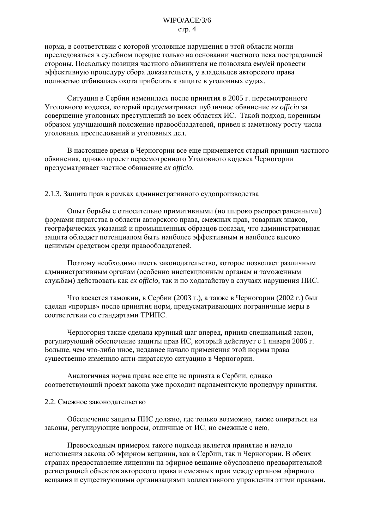## WIPO/ACE/3/6  $crp. 4$

норма, в соответствии с которой уголовные нарушения в этой области могли преследоваться в судебном порядке только на основании частного иска пострадавшей стороны. Поскольку позиция частного обвинителя не позволяла ему/ей провести эффективную процедуру сбора доказательств, у владельцев авторского права полностью отбивалась охота прибегать к защите в уголовных судах.

Ситуация в Сербии изменилась после принятия в 2005 г. пересмотренного Уголовного колекса, который предусматривает публичное обвинение *ex officio* за совершение уголовных преступлений во всех областях ИС. Такой подход, коренным образом улучшающий положение правообладателей, привел к заметному росту числа уголовных преследований и уголовных дел.

В настоящее время в Черногории все еще применяется старый принцип частного обвинения, однако проект пересмотренного Уголовного кодекса Черногории предусматривает частное обвинение ex officio.

#### 2.1.3. Защита прав в рамках административного судопроизводства

Опыт борьбы с относительно примитивными (но широко распространенными) формами пиратства в области авторского права, смежных прав, товарных знаков, географических указаний и промышленных образцов показал, что административная защита обладает потенциалом быть наиболее эффективным и наиболее высоко ценимым средством среди правообладателей.

Поэтому необходимо иметь законодательство, которое позволяет различным административным органам (особенно инспекционным органам и таможенным службам) действовать как *ex officio*, так и по ходатайству в случаях нарушения ПИС.

Что касается таможни, в Сербии (2003 г.), а также в Черногории (2002 г.) был сделан «прорыв» после принятия норм, предусматривающих пограничные меры в соответствии со стандартами ТРИПС.

Черногория также сделала крупный шаг вперед, приняв специальный закон, регулирующий обеспечение защиты прав ИС, который действует с 1 января 2006 г. Больше, чем что-либо иное, недавнее начало применения этой нормы права существенно изменило анти-пиратскую ситуацию в Черногории.

Аналогичная норма права все еще не принята в Сербии, однако соответствующий проект закона уже проходит парламентскую процедуру принятия.

#### 2.2. Смежное законодательство

Обеспечение защиты ПИС должно, где только возможно, также опираться на законы, регулирующие вопросы, отличные от ИС, но смежные с нею.

Превосходным примером такого подхода является принятие и начало исполнения закона об эфирном вещании, как в Сербии, так и Черногории. В обеих странах предоставление лицензии на эфирное вещание обусловлено предварительной регистрацией объектов авторского права и смежных прав между органом эфирного вещания и существующими организациями коллективного управления этими правами.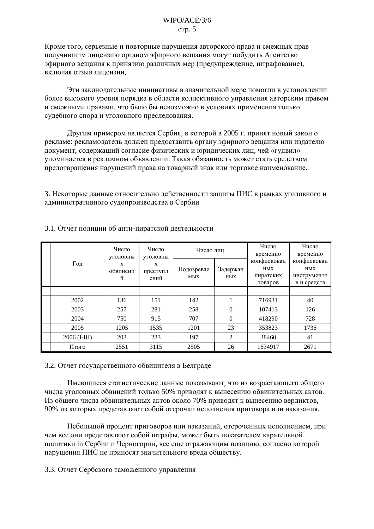Кроме того, серьезные и повторные нарушения авторского права и смежных прав получившим лицензию органом эфирного вещания могут побудить Агентство эфирного вещания к принятию различных мер (предупреждение, штрафование), включая отзыв лицензии.

Эти законодательные инициативы в значительной мере помогли в установлении более высокого уровня порядка в области коллективного управления авторским правом и смежными правами, что было бы невозможно в условиях применения только судебного спора и уголовного преследования.

Другим примером является Сербия, в которой в 2005 г. принят новый закон о рекламе: рекламодатель должен предоставить органу эфирного вещания или издателю документ, содержащий согласие физических и юридических лиц, чей «гудвил» упоминается в рекламном объявлении. Такая обязанность может стать средством предотвращения нарушений права на товарный знак или торговое наименование.

3. Некоторые данные относительно действенности защиты ПИС в рамках уголовного и административного судопроизводства в Сербии

| Год            | Число<br>уголовны<br>X<br>обвинени<br>й | Число<br>уголовны<br>X<br>преступл<br>ений | Число лиц         |                 | Число<br>временно                          | Число<br>временно                                |
|----------------|-----------------------------------------|--------------------------------------------|-------------------|-----------------|--------------------------------------------|--------------------------------------------------|
|                |                                         |                                            | Подозревае<br>мых | Задержан<br>ных | конфискован<br>ных<br>пиратских<br>товаров | конфискован<br>ных<br>инструменто<br>в и средств |
|                |                                         |                                            |                   |                 |                                            |                                                  |
| 2002           | 136                                     | 151                                        | 142               |                 | 716931                                     | 40                                               |
| 2003           | 257                                     | 281                                        | 258               | $\Omega$        | 107413                                     | 126                                              |
| 2004           | 750                                     | 915                                        | 707               | $\Omega$        | 418290                                     | 728                                              |
| 2005           | 1205                                    | 1535                                       | 1201              | 23              | 353823                                     | 1736                                             |
| $2006$ (I-III) | 203                                     | 233                                        | 197               | 2               | 38460                                      | 41                                               |
| Итого          | 2551                                    | 3115                                       | 2505              | 26              | 1634917                                    | 2671                                             |

## 3.1. Отчет полиции об анти-пиратской деятельности

## 3.2. Отчет государственного обвинителя в Белграде

Имеющиеся статистические данные показывают, что из возрастающего общего числа уголовных обвинений только 50% приводят к вынесению обвинительных актов. Из общего числа обвинительных актов около 70% приводят к вынесению вердиктов, 90% из которых представляют собой отсрочки исполнения приговора или наказания.

Небольшой процент приговоров или наказаний, отсроченных исполнением, при чем все они представляют собой штрафы, может быть показателем карательной политики in Сербии и Черногории, все еще отражающим позицию, согласно которой нарушения ПИС не приносят значительного вреда обществу.

## 3.3. Отчет Сербского таможенного управления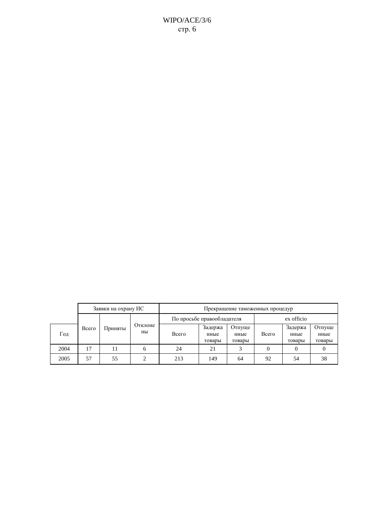|  | Заявки на охрану ИС |       |         | Прекращение таможенных процедур |                            |                           |                          |            |                           |                          |
|--|---------------------|-------|---------|---------------------------------|----------------------------|---------------------------|--------------------------|------------|---------------------------|--------------------------|
|  |                     |       |         |                                 | По просьбе правообладателя |                           |                          | ex officio |                           |                          |
|  | Год                 | Всего | Приняты | Отклоне<br>HЫ                   | Всего                      | Задержа<br>нные<br>товары | Отпуще<br>нные<br>товары | Всего      | Задержа<br>нные<br>товары | Отпуще<br>нные<br>товары |
|  | 2004                | 17    | 11      | 6                               | 24                         | 21                        |                          |            |                           |                          |
|  | 2005                | 57    | 55      |                                 | 213                        | 149                       | 64                       | 92         | 54                        | 38                       |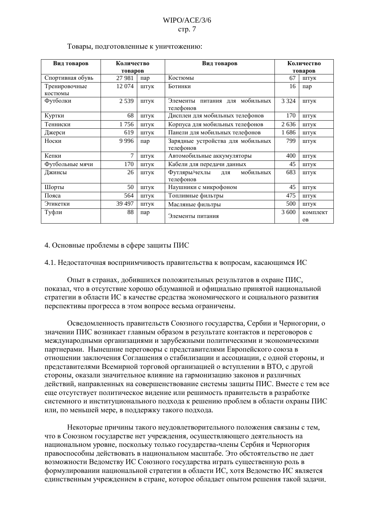#### Товары, подготовленные к уничтожению:

| Вид товаров      | Количество<br>товаров |      | Вид товаров                                 | Количество<br>товаров |                       |
|------------------|-----------------------|------|---------------------------------------------|-----------------------|-----------------------|
| Спортивная обувь | 27 981                | пар  | Костюмы                                     | 67                    | ШТУК                  |
| Тренировочные    | 12 074                | ШТУК | Ботинки                                     | 16                    | пар                   |
| костюмы          |                       |      |                                             |                       |                       |
| Футболки         | 2539                  | ШТУК | Элементы питания для мобильных<br>телефонов | 3 3 2 4               | ШТУК                  |
| Куртки           | 68                    | ШТУК | Дисплеи для мобильных телефонов             | 170                   | ШТУК                  |
| Тенниски         | 1756                  | ШТУК | Корпуса для мобильных телефонов             | 2636                  | штук                  |
| Джерси           | 619                   | ШТУК | Панели для мобильных телефонов              | 1686                  | ШТУК                  |
| Носки            | 9996                  | пар  | Зарядные устройства для мобильных           | 799                   | ШТУК                  |
|                  |                       |      | телефонов                                   |                       |                       |
| Кепки            | $\overline{7}$        | ШТУК | Автомобильные аккумуляторы                  | 400                   | ШТУК                  |
| Футбольные мячи  | 170                   | ШТУК | Кабели для передачи данных                  | 45                    | штук                  |
| Джинсы           | 26                    | ШТУК | Футляры/чехлы<br>мобильных<br>ДЛЯ           | 683                   | ШТУК                  |
|                  |                       |      | телефонов                                   |                       |                       |
| Шорты            | 50                    | ШТУК | Наушники с микрофоном                       | 45                    | ШТУК                  |
| Пояса            | 564                   | ШТУК | Топливные фильтры                           | 475                   | ШТУК                  |
| Этикетки         | 39 497                | ШТУК | Масляные фильтры                            | 500                   | ШТУК                  |
| Туфли            | 88                    | пар  | Элементы питания                            | 3 600                 | комплект<br><b>OB</b> |

#### 4. Основные проблемы в сфере защиты ПИС

#### 4.1. Недостаточная восприимчивость правительства к вопросам, касающимся ИС

Опыт в странах, лобившихся положительных результатов в охране ПИС. показал, что в отсутствие хорошо обдуманной и официально принятой национальной стратегии в области ИС в качестве средства экономического и социального развития перспективы прогресса в этом вопросе весьма ограничены.

Осведомленность правительств Союзного государства, Сербии и Черногории, о значении ПИС возникает главным образом в результате контактов и переговоров с международными организациями и зарубежными политическими и экономическими партнерами. Нынешние переговоры с представителями Европейского союза в отношении заключения Соглашения о стабилизации и ассоциации, с одной стороны, и представителями Всемирной торговой организацией о вступлении в ВТО, с другой стороны, оказали значительное влияние на гармонизацию законов и различных действий, направленных на совершенствование системы защиты ПИС. Вместе с тем все еще отсутствует политическое видение или решимость правительств в разработке системного и институционального подхода к решению проблем в области охраны ПИС или, по меньшей мере, в поддержку такого подхода.

Некоторые причины такого неудовлетворительного положения связаны с тем, что в Союзном государстве нет учреждения, осуществляющего деятельность на национальном уровне, поскольку только государства-члены Сербия и Черногория правоспособны действовать в национальном масштабе. Это обстоятельство не дает возможности Ведомству ИС Союзного государства играть существенную роль в формулировании национальной стратегии в области ИС, хотя Ведомство ИС является единственным учреждением в стране, которое обладает опытом решения такой задачи.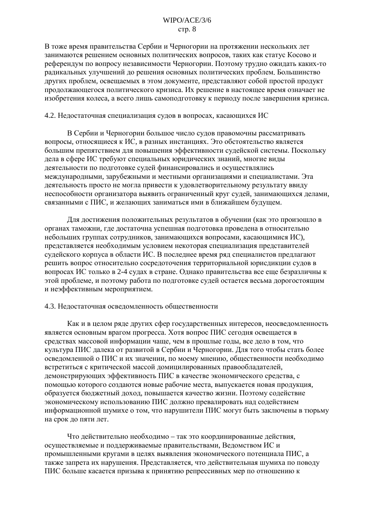## WIPO/ACE/3/6  $crp. 8$

В тоже время правительства Сербии и Черногории на протяжении нескольких лет занимаются решением основных политических вопросов, таких как статус Косово и референдум по вопросу независимости Черногории. Поэтому трудно ожидать каких-то радикальных улучшений до решения основных политических проблем. Большинство других проблем, освещаемых в этом документе, представляют собой простой продукт продолжающегося политического кризиса. Их решение в настоящее время означает не изобретения колеса, а всего лишь самоподготовку к периоду после завершения кризиса.

#### 4.2. Недостаточная специализация судов в вопросах, касающихся ИС

В Сербии и Черногории большое число судов правомочны рассматривать вопросы, относящиеся к ИС, в разных инстанциях. Это обстоятельство является большим препятствием для повышения эффективности судейской системы. Поскольку дела в сфере ИС требуют специальных юридических знаний, многие виды деятельности по подготовке судей финансировались и осуществлялись международными, зарубежными и местными организациями и специалистами. Эта деятельность просто не могла привести к удовлетворительному результату ввиду неспособности организатора выявить ограниченный круг судей, занимающихся делами, связанными с ПИС, и желающих заниматься ими в ближайшем будущем.

Для достижения положительных результатов в обучении (как это произошло в органах таможни, где достаточна успешная подготовка проведена в относительно небольших группах сотрудников, занимающихся вопросами, касающимися ИС), представляется необходимым условием некоторая специализация представителей судейского корпуса в области ИС. В последнее время ряд специалистов предлагают решить вопрос относительно сосредоточения территориальной юрисдикции судов в вопросах ИС только в 2-4 судах в стране. Однако правительства все еще безразличны к этой проблеме, и поэтому работа по подготовке судей остается весьма дорогостоящим и неэффективным мероприятием.

#### 4.3. Недостаточная осведомленность общественности

Как и в целом ряде других сфер государственных интересов, неосведомленность является основным врагом прогресса. Хотя вопрос ПИС сегодня освещается в средствах массовой информации чаще, чем в прошлые годы, все дело в том, что культура ПИС далека от развитой в Сербии и Черногории. Для того чтобы стать более осведомленной о ПИС и их значении, по моему мнению, общественности необходимо встретиться с критической массой домицилированных правообладателей, демонстрирующих эффективность ПИС в качестве экономического средства, с помощью которого создаются новые рабочие места, выпускается новая продукция, образуется бюджетный доход, повышается качество жизни. Поэтому содействие экономическому использованию ПИС должно превалировать над содействием информационной шумихе о том, что нарушители ПИС могут быть заключены в тюрьму на срок до пяти лет.

Что действительно необходимо - так это координированные действия, осуществляемые и поддерживаемые правительствами, Ведомством ИС и промышленными кругами в целях выявления экономического потенциала ПИС, а также запрета их нарушения. Представляется, что действительная шумиха по поводу ПИС больше касается призыва к принятию репрессивных мер по отношению к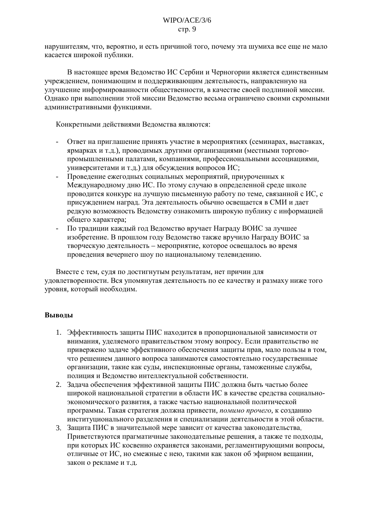нарушителям, что, вероятно, и есть причиной того, почему эта шумиха все еше не мало касается широкой публики.

В настоящее время Ведомство ИС Сербии и Черногории является единственным учреждением, понимающим и поддерживающим деятельность, направленную на улучшение информированности общественности, в качестве своей подлинной миссии. Однако при выполнении этой миссии Ведомство весьма ограничено своими скромными алминистративными функциями.

Конкретными действиями Ведомства являются:

- Ответ на приглашение принять участие в мероприятиях (семинарах, выставках,  $\mathbf{r}$ ярмарках и т.д.), проводимых другими организациями (местными торговопромышленными палатами, компаниями, профессиональными ассоциациями, университетами и т.д.) для обсуждения вопросов ИС;
- Проведение ежегодных социальных мероприятий, приуроченных к Международному дню ИС. По этому случаю в определенной среде школе проводится конкурс на лучшую письменную работу по теме, связанной с ИС, с присуждением наград. Эта деятельность обычно освещается в СМИ и дает редкую возможность Ведомству ознакомить широкую публику с информацией общего характера;
- По традиции каждый год Ведомство вручает Награду ВОИС за лучшее изобретение. В прошлом году Ведомство также вручило Награду ВОИС за творческую деятельность - мероприятие, которое освещалось во время проведения вечернего шоу по национальному телевидению.

Вместе с тем, судя по достигнутым результатам, нет причин для удовлетворенности. Вся упомянутая деятельность по ее качеству и размаху ниже того уровня, который необходим.

## Выволы

- 1. Эффективность защиты ПИС находится в пропорциональной зависимости от внимания, уделяемого правительством этому вопросу. Если правительство не привержено задаче эффективного обеспечения защиты прав, мало пользы в том, что решением данного вопроса занимаются самостоятельно государственные организации, такие как суды, инспекционные органы, таможенные службы, полиция и Ведомство интеллектуальной собственности.
- 2. Задача обеспечения эффективной защиты ПИС должна быть частью более широкой национальной стратегии в области ИС в качестве средства социальноэкономического развития, а также частью национальной политической программы. Такая стратегия должна привести, помимо прочего, к созданию институционального разделения и специализации деятельности в этой области.
- 3. Защита ПИС в значительной мере зависит от качества законодательства. Приветствуются прагматичные законодательные решения, а также те подходы, при которых ИС косвенно охраняется законами, регламентирующими вопросы, отличные от ИС, но смежные с нею, такими как закон об эфирном вещании, закон о рекламе и т.д.